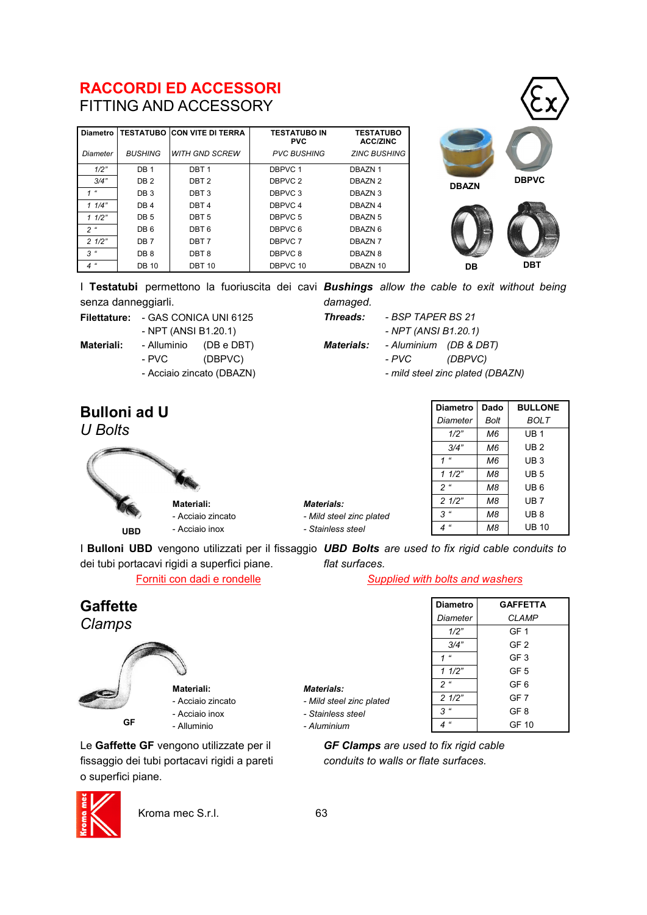## **RACCORDI ED ACCESSORI**  FITTING AND ACCESSORY

| <b>Diametro</b> |                 | <b>TESTATUBO CON VITE DI TERRA</b> | <b>TESTATUBO IN</b><br><b>PVC</b> | <b>TESTATUBO</b><br><b>ACC/ZINC</b> |
|-----------------|-----------------|------------------------------------|-----------------------------------|-------------------------------------|
| Diameter        | <b>BUSHING</b>  | WITH GND SCREW                     | <b>PVC BUSHING</b>                | <b>ZINC BUSHING</b>                 |
| 1/2"            | DB <sub>1</sub> | DBT <sub>1</sub>                   | DBPVC 1                           | DBAZN 1                             |
| 3/4"            | DB <sub>2</sub> | DBT <sub>2</sub>                   | DBPVC 2                           | DBAZN 2                             |
| $\epsilon$      | DB <sub>3</sub> | DBT <sub>3</sub>                   | DBPVC 3                           | DBAZN 3                             |
| 11/4"           | DB <sub>4</sub> | DBT <sub>4</sub>                   | DBPVC 4                           | DBAZN 4                             |
| 11/2"           | DB <sub>5</sub> | DBT <sub>5</sub>                   | DBPVC 5                           | DBAZN 5                             |
| 2 <sup>u</sup>  | DB <sub>6</sub> | DBT <sub>6</sub>                   | DBPVC 6                           | DBAZN 6                             |
| 21/2"           | DB <sub>7</sub> | DBT <sub>7</sub>                   | DBPVC 7                           | DBAZN <sub>7</sub>                  |
| $3$ "           | DB <sub>8</sub> | DBT <sub>8</sub>                   | DBPVC 8                           | DBAZN 8                             |
| $4$ "           | <b>DB 10</b>    | <b>DBT 10</b>                      | DBPVC 10                          | DBAZN 10                            |





I **Testatubi** permettono la fuoriuscita dei cavi *Bushings allow the cable to exit without being*  senza danneggiarli. *damaged.*

**Filettature:** - GAS CONICA UNI 6125

- NPT (ANSI B1.20.1)

**Materiali:** - Alluminio (DB e DBT) - PVC (DBPVC)

- Acciaio zincato (DBAZN)
- *Threads: - BSP TAPER BS 21*

*- NPT (ANSI B1.20.1) Materials: - Aluminium (DB & DBT) - PVC (DBPVC)*

*- mild steel zinc plated (DBAZN)*

| U Bolts    |                                           |
|------------|-------------------------------------------|
|            |                                           |
| <b>UBD</b> | Materiali:<br>- Acciaio z<br>- Acciaio ir |

**Bulloni ad U**



*Materials:*

*- Mild steel zinc plated - Stainless steel*

| <b>Diametro</b>              | Dado | <b>BULLONE</b> |  |  |
|------------------------------|------|----------------|--|--|
| Diameter                     | Bolt | <b>BOLT</b>    |  |  |
| 1/2"                         | M6   | UB 1           |  |  |
| 3/4"                         | M6   | UB 2           |  |  |
| u<br>1                       | M6   | UB 3           |  |  |
| 11/2"                        | M8   | UB 5           |  |  |
| $\epsilon$<br>$\overline{c}$ | M8   | UB 6           |  |  |
| 21/2"                        | M8   | UB 7           |  |  |
| $\epsilon$<br>3              | М8   | UB 8           |  |  |
| u                            | M8   | UB 10          |  |  |

I **Bulloni UBD** vengono utilizzati per il fissaggio *UBD Bolts are used to fix rigid cable conduits to*  dei tubi portacavi rigidi a superfici piane. *flat surfaces.*

*Materials:*

*- Mild steel zinc plated - Stainless steel - Aluminium*

**Materiali:** - Acciaio zincato - Acciaio inox - Alluminio

Forniti con dadi e rondelle *Supplied with bolts and washers*

| <b>Diametro</b>         | <b>GAFFETTA</b> |
|-------------------------|-----------------|
| Diameter                | <b>CLAMP</b>    |
| 1/2"                    | GF <sub>1</sub> |
| 3/4"                    | GF <sub>2</sub> |
| $\epsilon$              | GF <sub>3</sub> |
| 11/2"                   | GF 5            |
| 2 <sup>u</sup>          | GF6             |
| 21/2"                   | GF 7            |
| 3<br>$\epsilon\epsilon$ | GF8             |
| $\epsilon$              | GF 10           |

*GF Clamps are used to fix rigid cable conduits to walls or flate surfaces.*

| Le Gaffette GF vengono utilizzate per il     |
|----------------------------------------------|
| fissaggio dei tubi portacavi rigidi a pareti |
| o superfici piane.                           |



**GF**

**Gaffette** *Clamps*

Kroma mec S.r.l. 63